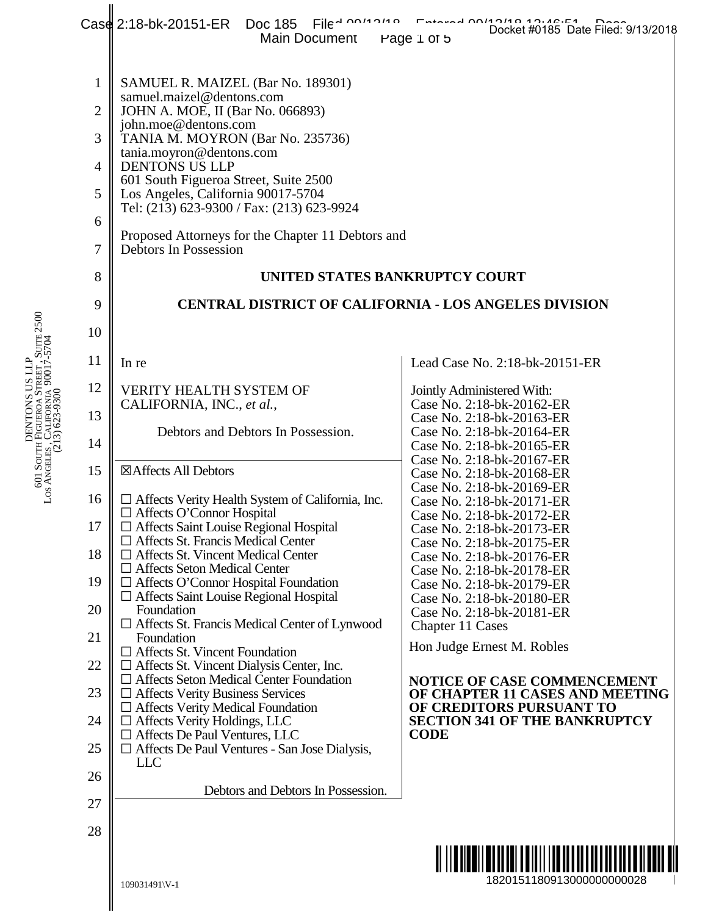|                | Case 2:18-bk-20151-ER Doc 185<br>Main Document                                               | File - 2014 214 Collect #0185 Date Filed: 9/13/2018<br>Page 1 of 5 |  |  |  |  |  |
|----------------|----------------------------------------------------------------------------------------------|--------------------------------------------------------------------|--|--|--|--|--|
|                |                                                                                              |                                                                    |  |  |  |  |  |
| $\mathbf{1}$   | SAMUEL R. MAIZEL (Bar No. 189301)                                                            |                                                                    |  |  |  |  |  |
| $\overline{2}$ | samuel.maizel@dentons.com<br>JOHN A. MOE, II (Bar No. 066893)                                |                                                                    |  |  |  |  |  |
| 3              | john.moe@dentons.com<br>TANIA M. MOYRON (Bar No. 235736)                                     |                                                                    |  |  |  |  |  |
| $\overline{4}$ | tania.moyron@dentons.com<br><b>DENTONS US LLP</b>                                            |                                                                    |  |  |  |  |  |
| 5              | 601 South Figueroa Street, Suite 2500<br>Los Angeles, California 90017-5704                  |                                                                    |  |  |  |  |  |
| 6              | Tel: (213) 623-9300 / Fax: (213) 623-9924                                                    |                                                                    |  |  |  |  |  |
| $\overline{7}$ | Proposed Attorneys for the Chapter 11 Debtors and<br>Debtors In Possession                   |                                                                    |  |  |  |  |  |
| 8              | UNITED STATES BANKRUPTCY COURT                                                               |                                                                    |  |  |  |  |  |
| 9              | <b>CENTRAL DISTRICT OF CALIFORNIA - LOS ANGELES DIVISION</b>                                 |                                                                    |  |  |  |  |  |
| 10             |                                                                                              |                                                                    |  |  |  |  |  |
| 11             | In re                                                                                        | Lead Case No. 2:18-bk-20151-ER                                     |  |  |  |  |  |
| 12             | <b>VERITY HEALTH SYSTEM OF</b>                                                               | Jointly Administered With:<br>Case No. 2:18-bk-20162-ER            |  |  |  |  |  |
| 13             | CALIFORNIA, INC., et al.,<br>Debtors and Debtors In Possession.                              | Case No. 2:18-bk-20163-ER                                          |  |  |  |  |  |
| 14             |                                                                                              | Case No. 2:18-bk-20164-ER<br>Case No. 2:18-bk-20165-ER             |  |  |  |  |  |
| 15             | ⊠Affects All Debtors                                                                         | Case No. 2:18-bk-20167-ER<br>Case No. 2:18-bk-20168-ER             |  |  |  |  |  |
| 16             | $\Box$ Affects Verity Health System of California, Inc.<br>$\Box$ Affects O'Connor Hospital  | Case No. 2:18-bk-20169-ER<br>Case No. 2:18-bk-20171-ER             |  |  |  |  |  |
| 17             | $\Box$ Affects Saint Louise Regional Hospital<br>$\Box$ Affects St. Francis Medical Center   | Case No. 2:18-bk-20172-ER<br>Case No. 2:18-bk-20173-ER             |  |  |  |  |  |
| 18             | $\Box$ Affects St. Vincent Medical Center                                                    | Case No. 2:18-bk-20175-ER<br>Case No. 2:18-bk-20176-ER             |  |  |  |  |  |
| 19             | $\Box$ Affects Seton Medical Center<br>$\Box$ Affects O'Connor Hospital Foundation           | Case No. 2:18-bk-20178-ER<br>Case No. 2:18-bk-20179-ER             |  |  |  |  |  |
| 20             | □ Affects Saint Louise Regional Hospital<br>Foundation                                       | Case No. 2:18-bk-20180-ER<br>Case No. 2:18-bk-20181-ER             |  |  |  |  |  |
| 21             | $\Box$ Affects St. Francis Medical Center of Lynwood<br>Foundation                           | Chapter 11 Cases<br>Hon Judge Ernest M. Robles                     |  |  |  |  |  |
| 22             | $\Box$ Affects St. Vincent Foundation<br>$\Box$ Affects St. Vincent Dialysis Center, Inc.    |                                                                    |  |  |  |  |  |
| 23             | $\Box$ Affects Seton Medical Center Foundation<br>$\Box$ Affects Verity Business Services    | NOTICE OF CASE COMMENCEMENT<br>OF CHAPTER 11 CASES AND MEETING     |  |  |  |  |  |
| 24             | $\Box$ Affects Verity Medical Foundation<br>$\Box$ Affects Verity Holdings, LLC              | OF CREDITORS PURSUANT TO<br><b>SECTION 341 OF THE BANKRUPTCY</b>   |  |  |  |  |  |
| 25             | $\Box$ Affects De Paul Ventures, LLC<br>$\Box$ Affects De Paul Ventures - San Jose Dialysis, | <b>CODE</b>                                                        |  |  |  |  |  |
| 26             | <b>LLC</b>                                                                                   |                                                                    |  |  |  |  |  |
| 27             | Debtors and Debtors In Possession.                                                           |                                                                    |  |  |  |  |  |
| 28             |                                                                                              |                                                                    |  |  |  |  |  |
|                |                                                                                              |                                                                    |  |  |  |  |  |
|                | 109031491\V-1                                                                                | 1820151180913000000000028                                          |  |  |  |  |  |
|                |                                                                                              |                                                                    |  |  |  |  |  |

DENTONS US LLP<br>FIGUEROA STREET 601 SO E にこ<br>圧 UEROA<br>Artespar STREET , SUITE 2500 L OS A N GELES , C ALIFORNIA 90017-5704 (213) 623-9300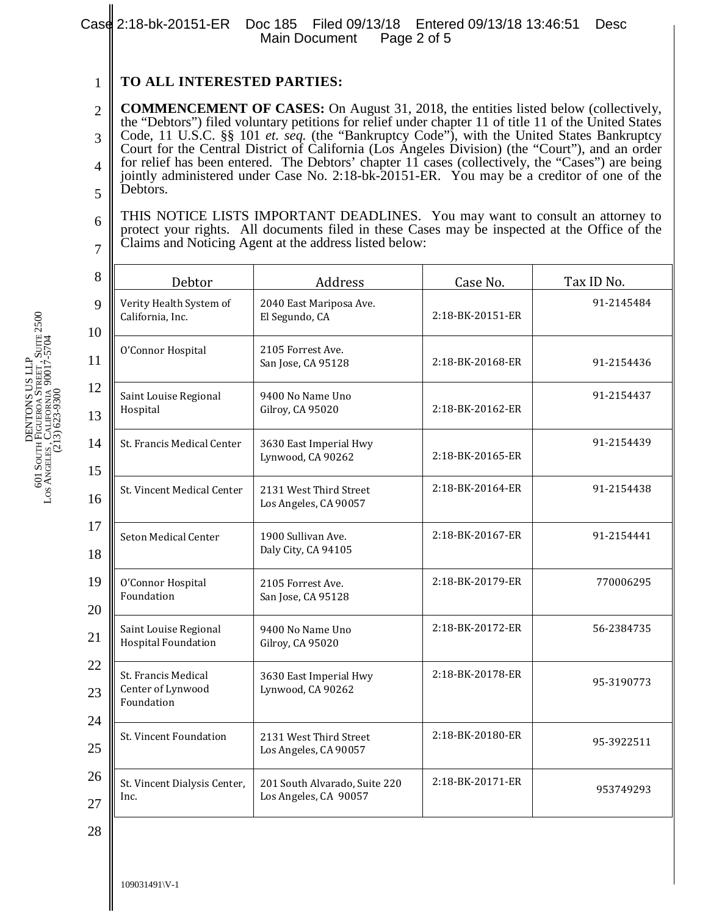## 1 **TO ALL INTERESTED PARTIES:**

2 3 4 5 **COMMENCEMENT OF CASES:** On August 31, 2018, the entities listed below (collectively, the "Debtors") filed voluntary petitions for relief under chapter 11 of title 11 of the United States Code, 11 U.S.C. §§ 101 *et. seq.* (the "Bankruptcy Code"), with the United States Bankruptcy Court for the Central District of California (Los Angeles Division) (the "Court"), and an order for relief has been entered. The Debtors' chapter 11 cases (collectively, the "Cases") are being jointly administered under Case No. 2:18-bk-20151-ER. You may be a creditor of one of the Debtors.

6 7 THIS NOTICE LISTS IMPORTANT DEADLINES. You may want to consult an attorney to protect your rights. All documents filed in these Cases may be inspected at the Office of the Claims and Noticing Agent at the address listed below:

| 8        | Debtor                                                                        | Address                                                       | Case No.         | Tax ID No. |  |
|----------|-------------------------------------------------------------------------------|---------------------------------------------------------------|------------------|------------|--|
| 9<br>10  | Verity Health System of<br>California, Inc.                                   | 2040 East Mariposa Ave.<br>El Segundo, CA                     | 2:18-BK-20151-ER | 91-2145484 |  |
| 11       | O'Connor Hospital                                                             | 2105 Forrest Ave.<br>San Jose, CA 95128                       | 2:18-BK-20168-ER | 91-2154436 |  |
| 12<br>13 | Saint Louise Regional<br>Hospital                                             | 9400 No Name Uno<br>Gilroy, CA 95020                          | 2:18-BK-20162-ER | 91-2154437 |  |
| 14<br>15 | St. Francis Medical Center                                                    | 3630 East Imperial Hwy<br>Lynwood, CA 90262                   | 2:18-BK-20165-ER | 91-2154439 |  |
| 16       | St. Vincent Medical Center<br>2131 West Third Street<br>Los Angeles, CA 90057 |                                                               | 2:18-BK-20164-ER | 91-2154438 |  |
| 17<br>18 | Seton Medical Center                                                          | 2:18-BK-20167-ER<br>1900 Sullivan Ave.<br>Daly City, CA 94105 |                  | 91-2154441 |  |
| 19<br>20 | O'Connor Hospital<br>Foundation                                               | 2105 Forrest Ave.<br>San Jose, CA 95128                       | 2:18-BK-20179-ER | 770006295  |  |
| 21       | Saint Louise Regional<br><b>Hospital Foundation</b>                           | 9400 No Name Uno<br>Gilroy, CA 95020                          | 2:18-BK-20172-ER | 56-2384735 |  |
| 22<br>23 | St. Francis Medical<br>Center of Lynwood<br>Foundation                        | 3630 East Imperial Hwy<br>Lynwood, CA 90262                   | 2:18-BK-20178-ER | 95-3190773 |  |
| 24<br>25 | St. Vincent Foundation                                                        | 2131 West Third Street<br>Los Angeles, CA 90057               | 2:18-BK-20180-ER | 95-3922511 |  |
| 26<br>27 | St. Vincent Dialysis Center,<br>Inc.                                          | 201 South Alvarado, Suite 220<br>Los Angeles, CA 90057        | 2:18-BK-20171-ER | 953749293  |  |
| 28       |                                                                               |                                                               |                  |            |  |

DENTONS US LLP<br>FIGUEROA STREET 601 SO E にこ<br>圧 UEROA<br>Artespar STREET , SUITE 2500 L OS A N GELES , C ALIFORNIA 90017-5704 (213) 623-9300

109031491\V-1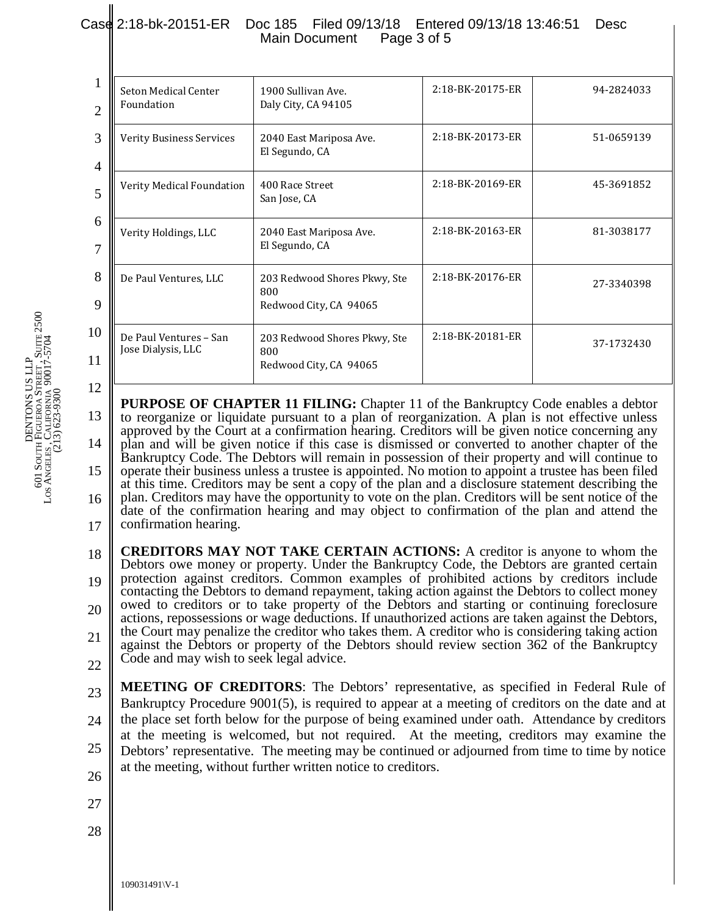## Case 2:18-bk-20151-ER Doc 185 Filed 09/13/18 Entered 09/13/18 13:46:51 Desc<br>Main Document Page 3 of 5 Main Document

| 1900 Sullivan Ave.<br>Daly City, CA 94105                                    | 2:18-BK-20175-ER | 94-2824033       |
|------------------------------------------------------------------------------|------------------|------------------|
| <b>Verity Business Services</b><br>2040 East Mariposa Ave.<br>El Segundo, CA |                  | 51-0659139       |
| 400 Race Street<br>San Jose, CA                                              | 2:18-BK-20169-ER | 45-3691852       |
| 2040 East Mariposa Ave.<br>El Segundo, CA                                    | 2:18-BK-20163-ER | 81-3038177       |
| 203 Redwood Shores Pkwy, Ste<br>800<br>Redwood City, CA 94065                | 2:18-BK-20176-ER | 27-3340398       |
| 203 Redwood Shores Pkwy, Ste<br>800<br>Redwood City, CA 94065                | 2:18-BK-20181-ER | 37-1732430       |
|                                                                              |                  | 2:18-BK-20173-ER |

13 14 15 16 17 **PURPOSE OF CHAPTER 11 FILING:** Chapter 11 of the Bankruptcy Code enables a debtor to reorganize or liquidate pursuant to a plan of reorganization. A plan is not effective unless approved by the Court at a confirmation hearing. Creditors will be given notice concerning any plan and will be given notice if this case is dismissed or converted to another chapter of the Bankruptcy Code. The Debtors will remain in possession of their property and will continue to operate their business unless a trustee is appointed. No motion to appoint a trustee has been filed at this time. Creditors may be sent a copy of the plan and a disclosure statement describing the plan. Creditors may have the opportunity to vote on the plan. Creditors will be sent notice of the date of the confirmation hearing and may object to confirmation of the plan and attend the confirmation hearing.

18 19 20 21 22 **CREDITORS MAY NOT TAKE CERTAIN ACTIONS:** A creditor is anyone to whom the Debtors owe money or property. Under the Bankruptcy Code, the Debtors are granted certain protection against creditors. Common examples of prohibited actions by creditors include contacting the Debtors to demand repayment, taking action against the Debtors to collect money owed to creditors or to take property of the Debtors and starting or continuing foreclosure actions, repossessions or wage deductions. If unauthorized actions are taken against the Debtors, the Court may penalize the creditor who takes them. A creditor who is considering taking action against the Debtors or property of the Debtors should review section 362 of the Bankruptcy Code and may wish to seek legal advice.

23 24 25 **MEETING OF CREDITORS**: The Debtors' representative, as specified in Federal Rule of Bankruptcy Procedure 9001(5), is required to appear at a meeting of creditors on the date and at the place set forth below for the purpose of being examined under oath. Attendance by creditors at the meeting is welcomed, but not required. At the meeting, creditors may examine the Debtors' representative. The meeting may be continued or adjourned from time to time by notice at the meeting, without further written notice to creditors.

- 26
- 27
- 
- 28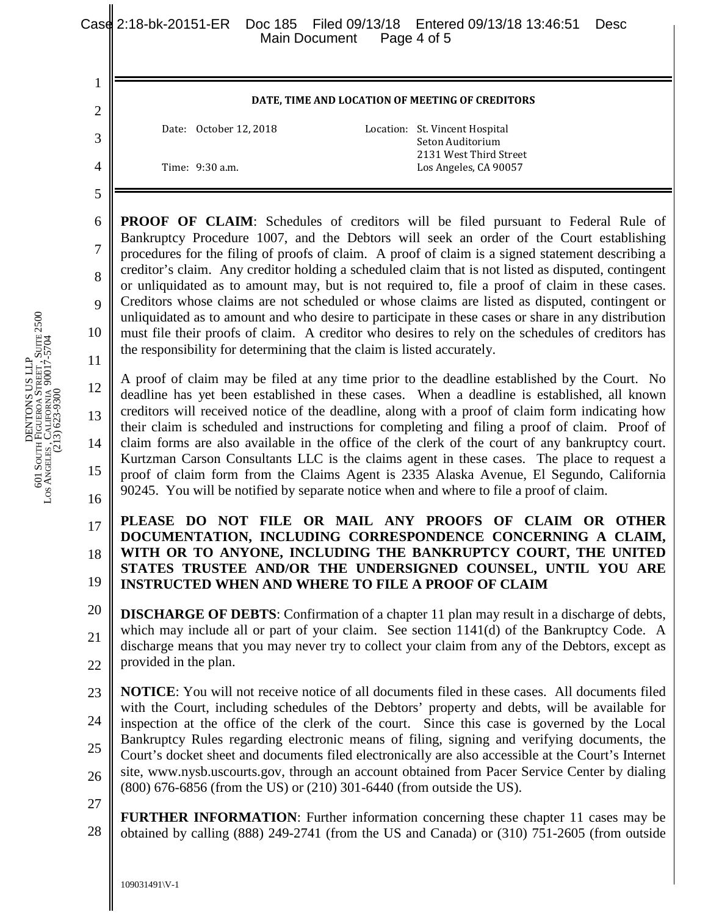| DENTONS US LLP | 601 SOUTH FIGUEROA STREET, SUITE 2500 | LOS ANGELES, CALIFORNIA 90017-5704 | $(213) 623 - 9300$ |  |
|----------------|---------------------------------------|------------------------------------|--------------------|--|

1

2

3

4

5

6

7

8

9

11

## **DATE, TIME AND LOCATION OF MEETING OF CREDITORS**

Date: October 12, 2018 Location: St. Vincent Hospital Seton Auditorium 2131 West Third Street Time: 9:30 a.m. Los Angeles, CA 90057

10 **PROOF OF CLAIM:** Schedules of creditors will be filed pursuant to Federal Rule of Bankruptcy Procedure 1007, and the Debtors will seek an order of the Court establishing procedures for the filing of proofs of claim. A proof of claim is a signed statement describing a creditor's claim. Any creditor holding a scheduled claim that is not listed as disputed, contingent or unliquidated as to amount may, but is not required to, file a proof of claim in these cases. Creditors whose claims are not scheduled or whose claims are listed as disputed, contingent or unliquidated as to amount and who desire to participate in these cases or share in any distribution must file their proofs of claim. A creditor who desires to rely on the schedules of creditors has the responsibility for determining that the claim is listed accurately.

12 13 14 15 16 A proof of claim may be filed at any time prior to the deadline established by the Court. No deadline has yet been established in these cases. When a deadline is established, all known creditors will received notice of the deadline, along with a proof of claim form indicating how their claim is scheduled and instructions for completing and filing a proof of claim. Proof of claim forms are also available in the office of the clerk of the court of any bankruptcy court. Kurtzman Carson Consultants LLC is the claims agent in these cases. The place to request a proof of claim form from the Claims Agent is 2335 Alaska Avenue, El Segundo, California 90245. You will be notified by separate notice when and where to file a proof of claim.

17 18 19 **PLEASE DO NOT FILE OR MAIL ANY PROOFS OF CLAIM OR OTHER DOCUMENTATION, INCLUDING CORRESPONDENCE CONCERNING A CLAIM, WITH OR TO ANYONE, INCLUDING THE BANKRUPTCY COURT, THE UNITED STATES TRUSTEE AND/OR THE UNDERSIGNED COUNSEL, UNTIL YOU ARE INSTRUCTED WHEN AND WHERE TO FILE A PROOF OF CLAIM** 

20 21 22 **DISCHARGE OF DEBTS**: Confirmation of a chapter 11 plan may result in a discharge of debts, which may include all or part of your claim. See section 1141(d) of the Bankruptcy Code. A discharge means that you may never try to collect your claim from any of the Debtors, except as provided in the plan.

23 24 25 26 **NOTICE**: You will not receive notice of all documents filed in these cases. All documents filed with the Court, including schedules of the Debtors' property and debts, will be available for inspection at the office of the clerk of the court. Since this case is governed by the Local Bankruptcy Rules regarding electronic means of filing, signing and verifying documents, the Court's docket sheet and documents filed electronically are also accessible at the Court's Internet site, www.nysb.uscourts.gov, through an account obtained from Pacer Service Center by dialing (800) 676-6856 (from the US) or (210) 301-6440 (from outside the US).

27 28 **FURTHER INFORMATION**: Further information concerning these chapter 11 cases may be obtained by calling (888) 249-2741 (from the US and Canada) or (310) 751-2605 (from outside

109031491\V-1